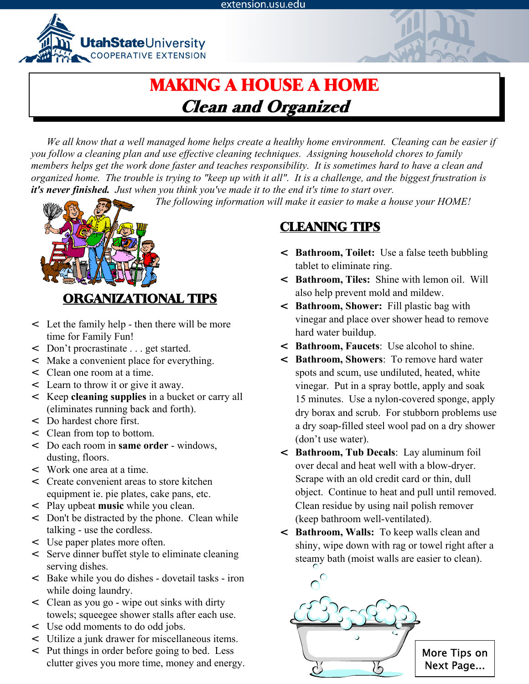extension.usu.edu



# MAKING A HOUSE A HOME Clean and Organized

*We all know that a well managed home helps create a healthy home environment. Cleaning can be easier if you follow a cleaning plan and use effective cleaning techniques. Assigning household chores to family members helps get the work done faster and teaches responsibility. It is sometimes hard to have a clean and organized home. The trouble is trying to "keep up with it all". It is a challenge, and the biggest frustration is it's never finished. Just when you think you've made it to the end it's time to start over.* 

*The following information will make it easier to make a house your HOME!*



## ORGANIZATIONAL TIPS

- < Let the family help then there will be more time for Family Fun!
- < Don't procrastinate . . . get started.
- < Make a convenient place for everything.
- < Clean one room at a time.
- < Learn to throw it or give it away.
- < Keep **cleaning supplies** in a bucket or carry all (eliminates running back and forth).
- < Do hardest chore first.
- < Clean from top to bottom.
- < Do each room in **same order** windows, dusting, floors.
- < Work one area at a time.
- < Create convenient areas to store kitchen equipment ie. pie plates, cake pans, etc.
- < Play upbeat **music** while you clean.
- < Don't be distracted by the phone. Clean while talking - use the cordless.
- < Use paper plates more often.
- < Serve dinner buffet style to eliminate cleaning serving dishes.
- < Bake while you do dishes dovetail tasks iron while doing laundry.
- < Clean as you go wipe out sinks with dirty towels; squeegee shower stalls after each use.
- < Use odd moments to do odd jobs.
- < Utilize a junk drawer for miscellaneous items.
- < Put things in order before going to bed. Less clutter gives you more time, money and energy.

## CLEANING TIPS

- < **Bathroom, Toilet:** Use a false teeth bubbling tablet to eliminate ring.
- < **Bathroom, Tiles:** Shine with lemon oil. Will also help prevent mold and mildew.
- < **Bathroom, Shower:** Fill plastic bag with vinegar and place over shower head to remove hard water buildup.
- < **Bathroom, Faucets**: Use alcohol to shine.
- < **Bathroom, Showers**: To remove hard water spots and scum, use undiluted, heated, white vinegar. Put in a spray bottle, apply and soak 15 minutes. Use a nylon-covered sponge, apply dry borax and scrub. For stubborn problems use a dry soap-filled steel wool pad on a dry shower (don't use water).
- < **Bathroom, Tub Decals**: Lay aluminum foil over decal and heat well with a blow-dryer. Scrape with an old credit card or thin, dull object. Continue to heat and pull until removed. Clean residue by using nail polish remover (keep bathroom well-ventilated).
- < **Bathroom, Walls:** To keep walls clean and shiny, wipe down with rag or towel right after a steamy bath (moist walls are easier to clean).

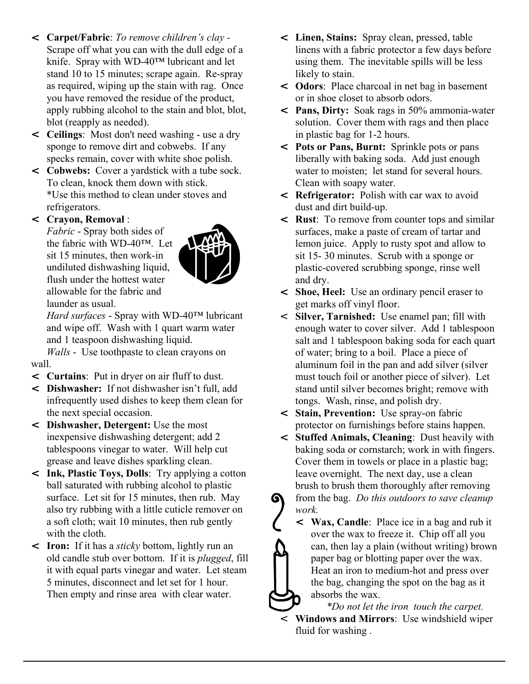- < **Carpet/Fabric**: *To remove children's clay*  Scrape off what you can with the dull edge of a knife. Spray with WD-40™ lubricant and let stand 10 to 15 minutes; scrape again. Re-spray as required, wiping up the stain with rag. Once you have removed the residue of the product, apply rubbing alcohol to the stain and blot, blot, blot (reapply as needed).
- < **Ceilings**: Most don't need washing use a dry sponge to remove dirt and cobwebs. If any specks remain, cover with white shoe polish.
- < **Cobwebs:** Cover a yardstick with a tube sock. To clean, knock them down with stick. \*Use this method to clean under stoves and refrigerators.

## < **Crayon, Removal** :

*Fabric* - Spray both sides of the fabric with WD-40™. Let sit 15 minutes, then work-in undiluted dishwashing liquid, flush under the hottest water allowable for the fabric and launder as usual.



*Hard surfaces* - Spray with WD-40™ lubricant and wipe off. Wash with 1 quart warm water and 1 teaspoon dishwashing liquid.

*Walls* - Use toothpaste to clean crayons on wall.

- < **Curtains**: Put in dryer on air fluff to dust.
- < **Dishwasher:** If not dishwasher isn't full, add infrequently used dishes to keep them clean for the next special occasion.
- < **Dishwasher, Detergent:** Use the most inexpensive dishwashing detergent; add 2 tablespoons vinegar to water. Will help cut grease and leave dishes sparkling clean.
- < **Ink, Plastic Toys, Dolls**: Try applying a cotton ball saturated with rubbing alcohol to plastic surface. Let sit for 15 minutes, then rub. May also try rubbing with a little cuticle remover on a soft cloth; wait 10 minutes, then rub gently with the cloth.
- < **Iron:** If it has a *sticky* bottom, lightly run an old candle stub over bottom. If it is *plugged*, fill it with equal parts vinegar and water. Let steam 5 minutes, disconnect and let set for 1 hour. Then empty and rinse area with clear water.
- < **Linen, Stains:** Spray clean, pressed, table linens with a fabric protector a few days before using them. The inevitable spills will be less likely to stain.
- < **Odors**: Place charcoal in net bag in basement or in shoe closet to absorb odors.
- < **Pans, Dirty:** Soak rags in 50% ammonia-water solution. Cover them with rags and then place in plastic bag for 1-2 hours.
- < **Pots or Pans, Burnt:** Sprinkle pots or pans liberally with baking soda. Add just enough water to moisten; let stand for several hours. Clean with soapy water.
- < **Refrigerator:** Polish with car wax to avoid dust and dirt build-up.
- < **Rust**: To remove from counter tops and similar surfaces, make a paste of cream of tartar and lemon juice. Apply to rusty spot and allow to sit 15- 30 minutes. Scrub with a sponge or plastic-covered scrubbing sponge, rinse well and dry.
- < **Shoe, Heel:** Use an ordinary pencil eraser to get marks off vinyl floor.
- < **Silver, Tarnished:** Use enamel pan; fill with enough water to cover silver. Add 1 tablespoon salt and 1 tablespoon baking soda for each quart of water; bring to a boil. Place a piece of aluminum foil in the pan and add silver (silver must touch foil or another piece of silver). Let stand until silver becomes bright; remove with tongs. Wash, rinse, and polish dry.
- < **Stain, Prevention:** Use spray-on fabric protector on furnishings before stains happen.
- < **Stuffed Animals, Cleaning**: Dust heavily with baking soda or cornstarch; work in with fingers. Cover them in towels or place in a plastic bag; leave overnight. The next day, use a clean brush to brush them thoroughly after removing from the bag. *Do this outdoors to save cleanup* G *work.*
	- < **Wax, Candle**: Place ice in a bag and rub it over the wax to freeze it. Chip off all you can, then lay a plain (without writing) brown paper bag or blotting paper over the wax. Heat an iron to medium-hot and press over the bag, changing the spot on the bag as it absorbs the wax.

*\*Do not let the iron touch the carpet.* < **Windows and Mirrors**: Use windshield wiper fluid for washing .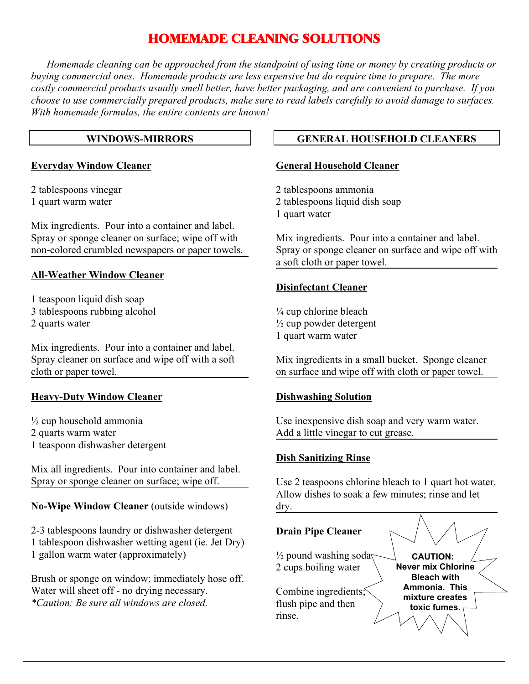## HOMEMADE CLEANING SOLUTIONS

*Homemade cleaning can be approached from the standpoint of using time or money by creating products or buying commercial ones. Homemade products are less expensive but do require time to prepare. The more costly commercial products usually smell better, have better packaging, and are convenient to purchase. If you choose to use commercially prepared products, make sure to read labels carefully to avoid damage to surfaces. With homemade formulas, the entire contents are known!*

#### **WINDOWS-MIRRORS**

#### **Everyday Window Cleaner**

2 tablespoons vinegar 1 quart warm water

Mix ingredients. Pour into a container and label. Spray or sponge cleaner on surface; wipe off with non-colored crumbled newspapers or paper towels.

#### **All-Weather Window Cleaner**

1 teaspoon liquid dish soap 3 tablespoons rubbing alcohol 2 quarts water

Mix ingredients. Pour into a container and label. Spray cleaner on surface and wipe off with a soft cloth or paper towel.

### **Heavy-Duty Window Cleaner**

 $\frac{1}{2}$  cup household ammonia 2 quarts warm water 1 teaspoon dishwasher detergent

Mix all ingredients. Pour into container and label. Spray or sponge cleaner on surface; wipe off.

### **No-Wipe Window Cleaner** (outside windows)

2-3 tablespoons laundry or dishwasher detergent 1 tablespoon dishwasher wetting agent (ie. Jet Dry) 1 gallon warm water (approximately)

Brush or sponge on window; immediately hose off. Water will sheet off - no drying necessary. *\*Caution: Be sure all windows are closed.*

## **GENERAL HOUSEHOLD CLEANERS**

#### **General Household Cleaner**

2 tablespoons ammonia 2 tablespoons liquid dish soap 1 quart water

Mix ingredients. Pour into a container and label. Spray or sponge cleaner on surface and wipe off with a soft cloth or paper towel.

#### **Disinfectant Cleaner**

 $\frac{1}{4}$  cup chlorine bleach  $\frac{1}{2}$  cup powder detergent 1 quart warm water

Mix ingredients in a small bucket. Sponge cleaner on surface and wipe off with cloth or paper towel.

#### **Dishwashing Solution**

Use inexpensive dish soap and very warm water. Add a little vinegar to cut grease.

#### **Dish Sanitizing Rinse**

Use 2 teaspoons chlorine bleach to 1 quart hot water. Allow dishes to soak a few minutes; rinse and let dry.

## **Drain Pipe Cleaner**

 $\frac{1}{2}$  pound washing soda 2 cups boiling water

Combine ingredients; flush pipe and then rinse.

**CAUTION: Never mix Chlorine Bleach with Ammonia. This mixture creates toxic fumes.**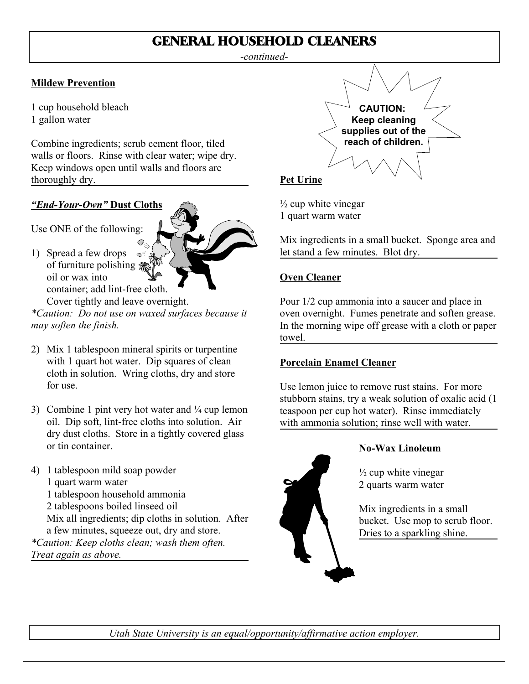## GENERAL HOUSEHOLD CLEANERS

*-continued-*

## **Mildew Prevention**

1 cup household bleach

1 gallon water

Combine ingredients; scrub cement floor, tiled walls or floors. Rinse with clear water; wipe dry. Keep windows open until walls and floors are thoroughly dry.

## *"End-Your-Own"* **Dust Cloths**

Use ONE of the following:

1) Spread a few drops  $\circ$ <sup>7</sup> of furniture polishing **杰** oil or wax into container; add lint-free cloth. Cover tightly and leave overnight.

*\*Caution: Do not use on waxed surfaces because it may soften the finish.*

- 2) Mix 1 tablespoon mineral spirits or turpentine with 1 quart hot water. Dip squares of clean cloth in solution. Wring cloths, dry and store for use.
- 3) Combine 1 pint very hot water and  $\frac{1}{4}$  cup lemon oil. Dip soft, lint-free cloths into solution. Air dry dust cloths. Store in a tightly covered glass or tin container.
- 4) 1 tablespoon mild soap powder 1 quart warm water 1 tablespoon household ammonia 2 tablespoons boiled linseed oil Mix all ingredients; dip cloths in solution. After a few minutes, squeeze out, dry and store. *\*Caution: Keep cloths clean; wash them often. Treat again as above.*



## **Pet Urine**

 $\frac{1}{2}$  cup white vinegar 1 quart warm water

Mix ingredients in a small bucket. Sponge area and let stand a few minutes. Blot dry.

## **Oven Cleaner**

Pour 1/2 cup ammonia into a saucer and place in oven overnight. Fumes penetrate and soften grease. In the morning wipe off grease with a cloth or paper towel.

## **Porcelain Enamel Cleaner**

Use lemon juice to remove rust stains. For more stubborn stains, try a weak solution of oxalic acid (1 teaspoon per cup hot water). Rinse immediately with ammonia solution; rinse well with water.



## **No-Wax Linoleum**

 $\frac{1}{2}$  cup white vinegar 2 quarts warm water

Mix ingredients in a small bucket. Use mop to scrub floor. Dries to a sparkling shine.

*Utah State University is an equal/opportunity/affirmative action employer.*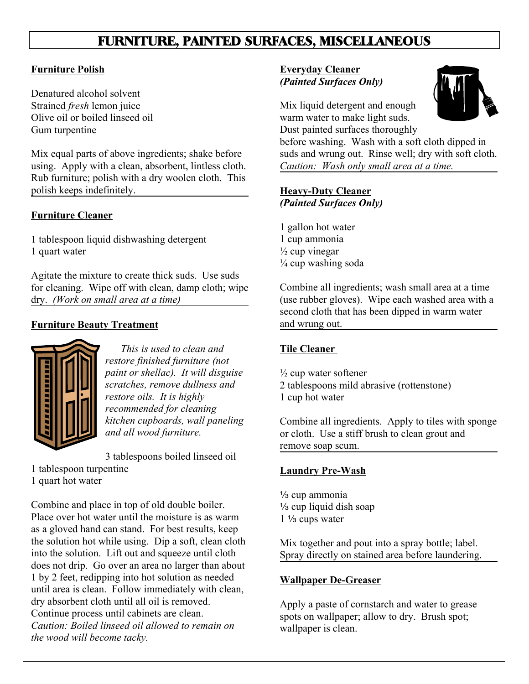## FURNITURE, PAINTED SURFACES, MISCELLANEOUS

### **Furniture Polish**

Denatured alcohol solvent Strained *fresh* lemon juice Olive oil or boiled linseed oil Gum turpentine

Mix equal parts of above ingredients; shake before using. Apply with a clean, absorbent, lintless cloth. Rub furniture; polish with a dry woolen cloth. This polish keeps indefinitely.

## **Furniture Cleaner**

1 tablespoon liquid dishwashing detergent 1 quart water

Agitate the mixture to create thick suds. Use suds for cleaning. Wipe off with clean, damp cloth; wipe dry. *(Work on small area at a time)*

## **Furniture Beauty Treatment**



*This is used to clean and restore finished furniture (not paint or shellac). It will disguise scratches, remove dullness and restore oils. It is highly recommended for cleaning kitchen cupboards, wall paneling and all wood furniture.*

3 tablespoons boiled linseed oil

- 1 tablespoon turpentine
- 1 quart hot water

Combine and place in top of old double boiler. Place over hot water until the moisture is as warm as a gloved hand can stand. For best results, keep the solution hot while using. Dip a soft, clean cloth into the solution. Lift out and squeeze until cloth does not drip. Go over an area no larger than about 1 by 2 feet, redipping into hot solution as needed until area is clean. Follow immediately with clean, dry absorbent cloth until all oil is removed. Continue process until cabinets are clean. *Caution: Boiled linseed oil allowed to remain on the wood will become tacky.*

## **Everyday Cleaner** *(Painted Surfaces Only)*



Mix liquid detergent and enough warm water to make light suds. Dust painted surfaces thoroughly

before washing. Wash with a soft cloth dipped in suds and wrung out. Rinse well; dry with soft cloth. *Caution: Wash only small area at a time.*

## **Heavy-Duty Cleaner** *(Painted Surfaces Only)*

1 gallon hot water 1 cup ammonia  $\frac{1}{2}$  cup vinegar  $\frac{1}{4}$  cup washing soda

Combine all ingredients; wash small area at a time (use rubber gloves). Wipe each washed area with a second cloth that has been dipped in warm water and wrung out.

### **Tile Cleaner**

 $\frac{1}{2}$  cup water softener 2 tablespoons mild abrasive (rottenstone) 1 cup hot water

Combine all ingredients. Apply to tiles with sponge or cloth. Use a stiff brush to clean grout and remove soap scum.

### **Laundry Pre-Wash**

1/<sub>3</sub> cup ammonia  $\frac{1}{3}$  cup liquid dish soap  $1\frac{1}{3}$  cups water

Mix together and pout into a spray bottle; label. Spray directly on stained area before laundering.

### **Wallpaper De-Greaser**

Apply a paste of cornstarch and water to grease spots on wallpaper; allow to dry. Brush spot; wallpaper is clean.